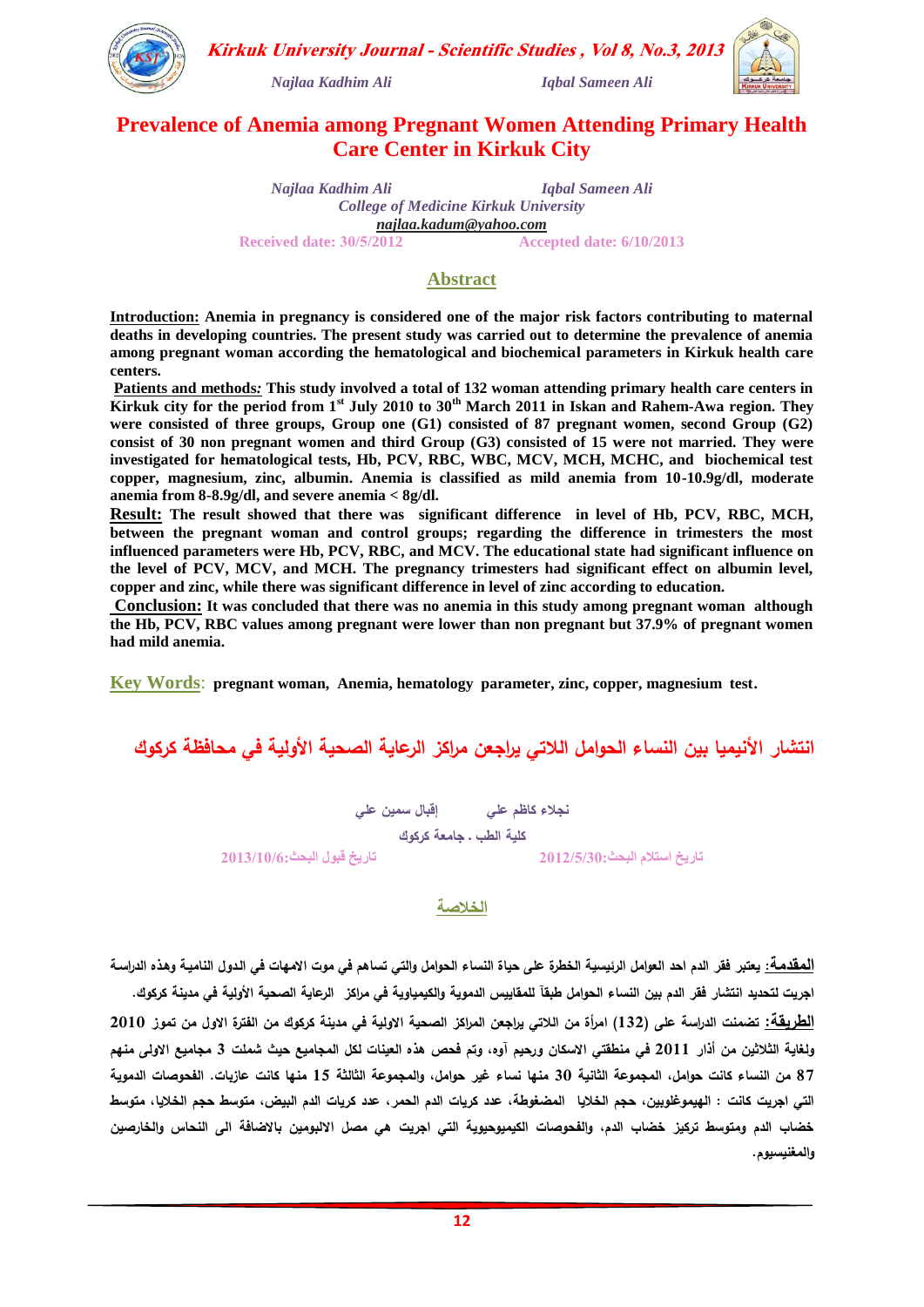

Kirkuk University Journal - Scientific Studies, Vol 8, No.3, 2013

*Najlaa Kadhim Ali Iqbal Sameen Ali*



# **Prevalence of Anemia among Pregnant Women Attending Primary Health Care Center in Kirkuk City**

*Najlaa Kadhim Ali Iqbal Sameen Ali College of Medicine Kirkuk University [najlaa.kadum@yahoo.com](mailto:najlaa.kadum@yahoo.com)* **Received date: 03/5/2012 Accepted date: 6/10/2013**

## **Abstract**

**Introduction: Anemia in pregnancy is considered one of the major risk factors contributing to maternal deaths in developing countries. The present study was carried out to determine the prevalence of anemia among pregnant woman according the hematological and biochemical parameters in Kirkuk health care centers.** 

**Patients and methods***:* **This study involved a total of 132 woman attending primary health care centers in Kirkuk city for the period from 1st July 2010 to 30th March 2011 in Iskan and Rahem-Awa region. They were consisted of three groups, Group one (G1) consisted of 87 pregnant women, second Group (G2) consist of 30 non pregnant women and third Group (G3) consisted of 15 were not married. They were investigated for hematological tests, Hb, PCV, RBC, WBC, MCV, MCH, MCHC, and biochemical test copper, magnesium, zinc, albumin. Anemia is classified as mild anemia from 10-10.9g/dl, moderate anemia from 8-8.9g/dl, and severe anemia < 8g/dl.** 

**Result: The result showed that there was significant difference in level of Hb, PCV, RBC, MCH, between the pregnant woman and control groups; regarding the difference in trimesters the most influenced parameters were Hb, PCV, RBC, and MCV. The educational state had significant influence on the level of PCV, MCV, and MCH. The pregnancy trimesters had significant effect on albumin level, copper and zinc, while there was significant difference in level of zinc according to education.**

**Conclusion: It was concluded that there was no anemia in this study among pregnant woman although the Hb, PCV, RBC values among pregnant were lower than non pregnant but 37.9% of pregnant women had mild anemia.**

**Key Words**: **pregnant woman, Anemia, hematology parameter, zinc, copper, magnesium test.**

**انتشار األنيميا بين النساء الحوامل الالتي يراجعن مراكز الرعاية الصحية األولية في محافظة كركوك** 

**نجالء كاظم عمي إقبال سمين عمي**

**كمية الطب ـ جامعة كركوك**

**تاريخ استالم البحث2302/5/03: تاريخ قبول البحث2300/03/6:**

## **الخالصة**

**المقدمة**: **يعتبر فقر الدم احد العوامل الرئيسية الخطرة عمى حياة النساء الحوامل والتي تساهم في موت االمهات في الـدول الناميـة وهـال الدراسـة اجريت لتحديد انتشار فقر الدم بين النساء الحوامل طبقآ لممقاييس الدموية والكيمياوية في مراكز الرعاية الصحية األولية في مدينة كركوك. الطريقة: تضمنت الدراسة عمى )231( امرأة من الالتي يراجعن المراكز الصحية االولية في مدينة كركوك من الفترة االول من تموز 1222 ولغاية الثالثين من أاار 1222 في منطقتي االسكان ورحيم آول، وتم فحص هال العينات لكل المجاميع حيث شممت 3 مجاميع االولى منهم 78 من النساء كانت حوامل، المجموعة الثانية 32 منها نساء غير حوامل، والمجموعة الثالثة 21 منها كانت عازبات. الفحوصات الدموية التي اجريت كانت : الهيموغموبين، حجم الخاليا المضغوطة، عدد كريات الدم الحمر، عدد كريات الدم البيض، متوسط حجم الخاليا، متوسط خضاب الدم ومتوسط تركيز خضاب الدم، والفحوصات الكيميوحيوية التي اجريت هي مصل االلبومين باالضافة الى النحاس والخارصين والمغنيسيوم.**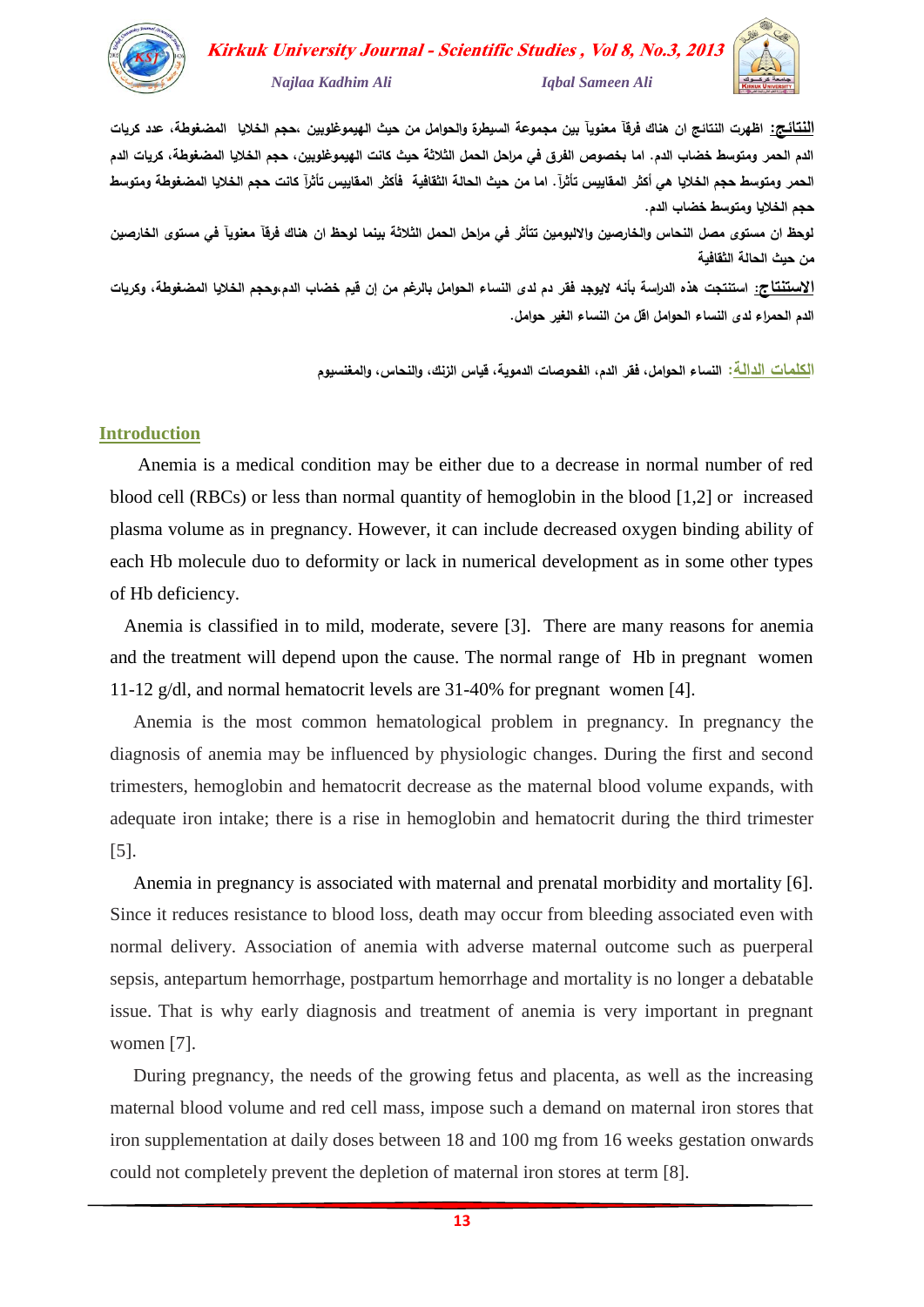

**النتائج: اظهرت النتائج ان هناك فرقآ معنويآ بين مجموعة السيطرة والحوامل من حيث الهيموغموبين ،حجم الخاليا المضغوطة، عدد كريات الدم الحمر ومتوسط خضاب الدم. اما بخصوص الفرق في مراحل الحمل الثالثة حيث كانت الهيموغموبين، حجم الخاليا المضغوطة، كريات الدم الحمر ومتوسط حجم الخاليا هي أكثر المقاييس تأثرآ. اما من حيث الحالة الثقافية فأكثر المقاييس تأثرآ كانت حجم الخاليا المضغوطة ومتوسط حجم الخاليا ومتوسط خضاب الدم.**

**لوحظ ان مستوى مصل النحاس والخارصين وااللبومين تتأثر في مراحل الحمل الثالثة بينما لوحظ ان هناك فرقآ معنويآ في مستوى الخارصين من حيث الحالة الثقافية**

ا<mark>لاستنتاج</mark>: استنتجت هذه الدراسة بأنه لايوجد فقر دم لدى النساء الحوامل بالرغم من إن قيم خضاب الدم،وحجم الخلايا المضغوطة، وكريات **الدم الحمراء لدى النساء الحوامل اقل من النساء الغير حوامل.** 

**الكممات الدالة: النساء الحوامل، فقر الدم، الفحوصات الدموية، قياس الزنك، والنحاس، والمغنسيوم**

## **Introduction**

 Anemia is a medical condition may be either due to a decrease in normal number of red blood cell (RBCs) or less than normal quantity of hemoglobin in the blood [1,2] or increased plasma volume as in pregnancy. However, it can include decreased oxygen binding ability of each Hb molecule duo to deformity or lack in numerical development as in some other types of Hb deficiency.

 Anemia is classified in to mild, moderate, severe [3]. There are many reasons for anemia and the treatment will depend upon the cause. The normal range of Hb in pregnant women 11-12 g/dl, and normal hematocrit levels are 31-40% for pregnant women [4].

 Anemia is the most common hematological problem in pregnancy. In pregnancy the diagnosis of anemia may be influenced by physiologic changes. During the first and second trimesters, hemoglobin and hematocrit decrease as the maternal blood volume expands, with adequate iron intake; there is a rise in hemoglobin and hematocrit during the third trimester [5].

 Anemia in pregnancy is associated with maternal and prenatal morbidity and mortality [6]. Since it reduces resistance to blood loss, death may occur from bleeding associated even with normal delivery. Association of anemia with adverse maternal outcome such as puerperal sepsis, antepartum hemorrhage, postpartum hemorrhage and mortality is no longer a debatable issue. That is why early diagnosis and treatment of anemia is very important in pregnant women [7].

 During pregnancy, the needs of the growing fetus and placenta, as well as the increasing maternal blood volume and red cell mass, impose such a demand on maternal iron stores that iron supplementation at daily doses between 18 and 100 mg from 16 weeks gestation onwards could not completely prevent the depletion of maternal iron stores at term [8].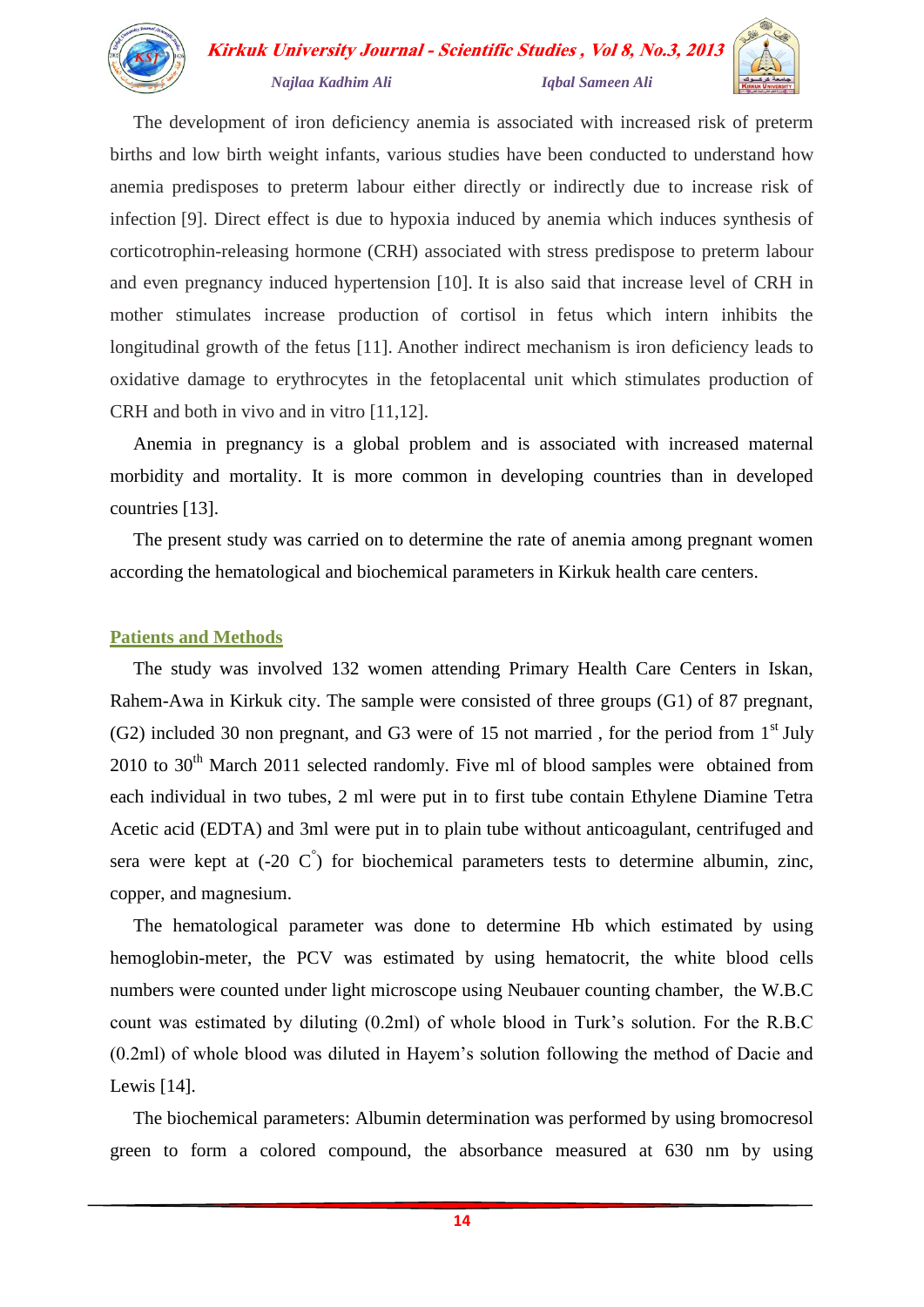

 The development of iron deficiency anemia is associated with increased risk of preterm births and low birth weight infants, various studies have been conducted to understand how anemia predisposes to preterm labour either directly or indirectly due to increase risk of infection [9]. Direct effect is due to hypoxia induced by anemia which induces synthesis of corticotrophin-releasing hormone (CRH) associated with stress predispose to preterm labour and even pregnancy induced hypertension [10]. It is also said that increase level of CRH in mother stimulates increase production of cortisol in fetus which intern inhibits the longitudinal growth of the fetus [11]. Another indirect mechanism is iron deficiency leads to oxidative damage to erythrocytes in the fetoplacental unit which stimulates production of CRH and both in vivo and in vitro [11,12].

 Anemia in pregnancy is a global problem and is associated with increased maternal morbidity and mortality. It is more common in developing countries than in developed countries [13].

 The present study was carried on to determine the rate of anemia among pregnant women according the hematological and biochemical parameters in Kirkuk health care centers.

## **Patients and Methods**

 The study was involved 132 women attending Primary Health Care Centers in Iskan, Rahem-Awa in Kirkuk city. The sample were consisted of three groups (G1) of 87 pregnant,  $(G2)$  included 30 non pregnant, and G3 were of 15 not married, for the period from 1<sup>st</sup> July  $2010$  to  $30<sup>th</sup>$  March  $2011$  selected randomly. Five ml of blood samples were obtained from each individual in two tubes, 2 ml were put in to first tube contain Ethylene Diamine Tetra Acetic acid (EDTA) and 3ml were put in to plain tube without anticoagulant, centrifuged and sera were kept at  $(-20 \text{ } ^{\degree}C)$  for biochemical parameters tests to determine albumin, zinc, copper, and magnesium.

 The hematological parameter was done to determine Hb which estimated by using hemoglobin-meter, the PCV was estimated by using hematocrit, the white blood cells numbers were counted under light microscope using Neubauer counting chamber, the W.B.C count was estimated by diluting (0.2ml) of whole blood in Turk's solution. For the R.B.C (0.2ml) of whole blood was diluted in Hayem's solution following the method of Dacie and Lewis [14].

 The biochemical parameters: Albumin determination was performed by using bromocresol green to form a colored compound, the absorbance measured at 630 nm by using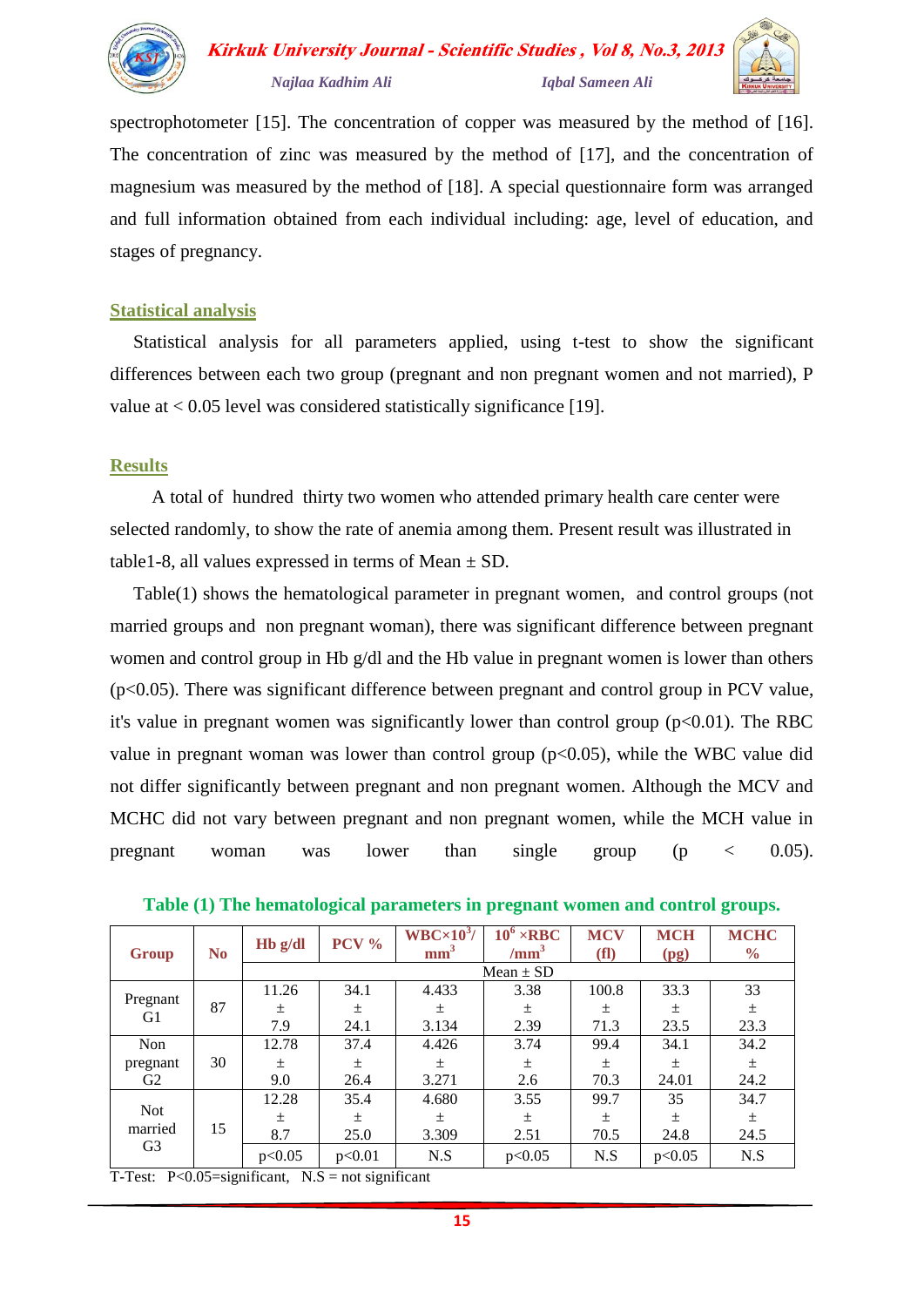

spectrophotometer [15]. The concentration of copper was measured by the method of [16]. The concentration of zinc was measured by the method of [17], and the concentration of magnesium was measured by the method of [18]. A special questionnaire form was arranged and full information obtained from each individual including: age, level of education, and stages of pregnancy.

## **Statistical analysis**

 Statistical analysis for all parameters applied, using t-test to show the significant differences between each two group (pregnant and non pregnant women and not married), P value at  $< 0.05$  level was considered statistically significance [19].

## **Results**

 A total of hundred thirty two women who attended primary health care center were selected randomly, to show the rate of anemia among them. Present result was illustrated in table 1-8, all values expressed in terms of Mean  $\pm$  SD.

 Table(1) shows the hematological parameter in pregnant women, and control groups (not married groups and non pregnant woman), there was significant difference between pregnant women and control group in Hb g/dl and the Hb value in pregnant women is lower than others  $(p<0.05)$ . There was significant difference between pregnant and control group in PCV value, it's value in pregnant women was significantly lower than control group  $(p<0.01)$ . The RBC value in pregnant woman was lower than control group  $(p<0.05)$ , while the WBC value did not differ significantly between pregnant and non pregnant women. Although the MCV and MCHC did not vary between pregnant and non pregnant women, while the MCH value in pregnant woman was lower than single group (p < 0.05).

| Group                     | N <sub>0</sub> | $Hb$ g/dl | $PCV\%$       | $WBC \times 10^3$ /<br>mm <sup>3</sup> | $10^6$ ×RBC<br>/mm <sup>3</sup> | <b>MCV</b><br>(f <sub>1</sub> ) | <b>MCH</b><br>(pg) | <b>MCHC</b><br>$\frac{0}{0}$ |  |  |  |
|---------------------------|----------------|-----------|---------------|----------------------------------------|---------------------------------|---------------------------------|--------------------|------------------------------|--|--|--|
|                           |                |           | Mean $\pm$ SD |                                        |                                 |                                 |                    |                              |  |  |  |
|                           |                | 11.26     | 34.1          | 4.433                                  | 3.38                            | 100.8                           | 33.3               | 33                           |  |  |  |
| Pregnant<br>G1            | 87             | 土         | 土             | 土                                      | 土                               | 土                               | 土                  | $\pm$                        |  |  |  |
|                           |                | 7.9       | 24.1          | 3.134                                  | 2.39                            | 71.3                            | 23.5               | 23.3                         |  |  |  |
| Non                       |                | 12.78     | 37.4          | 4.426                                  | 3.74                            | 99.4                            | 34.1               | 34.2                         |  |  |  |
| pregnant                  | 30             | $\pm$     | $\pm$         | $\pm$                                  | $\pm$                           | 土                               | $\pm$              | $\pm$                        |  |  |  |
| G2                        |                | 9.0       | 26.4          | 3.271                                  | 2.6                             | 70.3                            | 24.01              | 24.2                         |  |  |  |
|                           |                | 12.28     | 35.4          | 4.680                                  | 3.55                            | 99.7                            | 35                 | 34.7                         |  |  |  |
| <b>Not</b>                |                | 土         | $\pm$         | 土                                      | $\pm$                           | 土                               | $\pm$              | $\pm$                        |  |  |  |
| married<br>G <sub>3</sub> | 15             | 8.7       | 25.0          | 3.309                                  | 2.51                            | 70.5                            | 24.8               | 24.5                         |  |  |  |
|                           |                | p<0.05    | p<0.01        | N.S                                    | p<0.05                          | N.S                             | p<0.05             | N.S                          |  |  |  |

**Table (1) The hematological parameters in pregnant women and control groups.**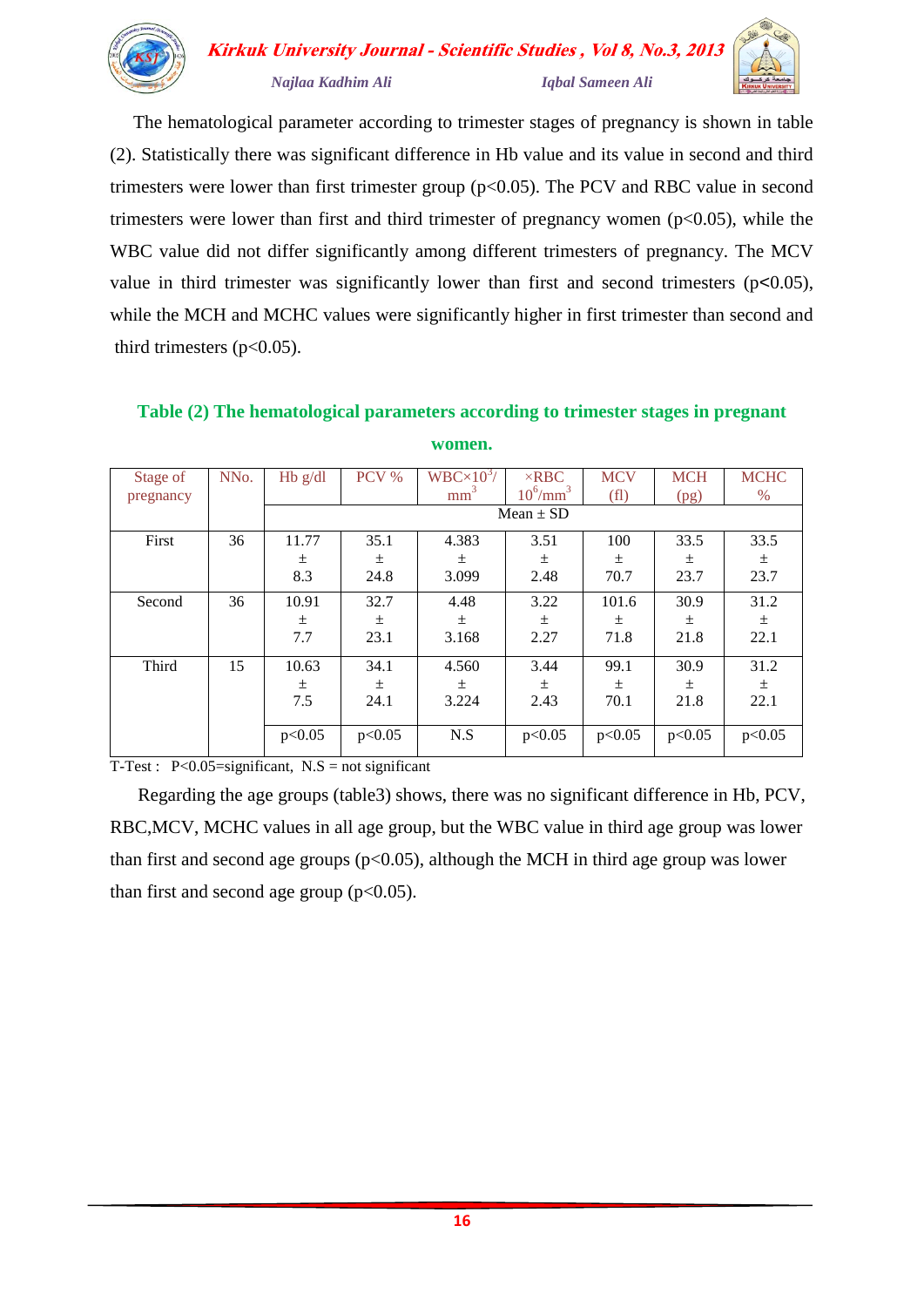

 The hematological parameter according to trimester stages of pregnancy is shown in table (2). Statistically there was significant difference in Hb value and its value in second and third trimesters were lower than first trimester group  $(p<0.05)$ . The PCV and RBC value in second trimesters were lower than first and third trimester of pregnancy women  $(p<0.05)$ , while the WBC value did not differ significantly among different trimesters of pregnancy. The MCV value in third trimester was significantly lower than first and second trimesters  $(p<0.05)$ , while the MCH and MCHC values were significantly higher in first trimester than second and third trimesters  $(p<0.05)$ .

| Stage of  | NN <sub>o</sub> . | $Hb$ g/dl | PCV %  | $WBC \times 10^3/$ | $\times$ RBC       | <b>MCV</b> | <b>MCH</b> | <b>MCHC</b> |
|-----------|-------------------|-----------|--------|--------------------|--------------------|------------|------------|-------------|
| pregnancy |                   |           |        | mm <sup>3</sup>    | $10^6/\text{mm}^3$ | (f)        | (pg)       | $\%$        |
|           |                   |           |        |                    | Mean $\pm$ SD      |            |            |             |
| First     | 36                | 11.77     | 35.1   | 4.383              | 3.51               | 100        | 33.5       | 33.5        |
|           |                   | $\pm$     | 土      | $\pm$              | 土                  | $\pm$      | $\pm$      | 土           |
|           |                   | 8.3       | 24.8   | 3.099              | 2.48               | 70.7       | 23.7       | 23.7        |
| Second    | 36                | 10.91     | 32.7   | 4.48               | 3.22               | 101.6      | 30.9       | 31.2        |
|           |                   | $\pm$     | 土      | $\pm$              | 土                  | $\pm$      | 土          | 土           |
|           |                   | 7.7       | 23.1   | 3.168              | 2.27               | 71.8       | 21.8       | 22.1        |
| Third     | 15                | 10.63     | 34.1   | 4.560              | 3.44               | 99.1       | 30.9       | 31.2        |
|           |                   | 土         | 土      | $\pm$              | 土                  | 土          | 士          | $\pm$       |
|           |                   | 7.5       | 24.1   | 3.224              | 2.43               | 70.1       | 21.8       | 22.1        |
|           |                   | p<0.05    | p<0.05 | N.S                | p<0.05             | p<0.05     | p<0.05     | p<0.05      |

**Table (2) The hematological parameters according to trimester stages in pregnant women.**

T-Test :  $P < 0.05$ =significant, N.S = not significant

 Regarding the age groups (table3) shows, there was no significant difference in Hb, PCV, RBC,MCV, MCHC values in all age group, but the WBC value in third age group was lower than first and second age groups ( $p<0.05$ ), although the MCH in third age group was lower than first and second age group  $(p<0.05)$ .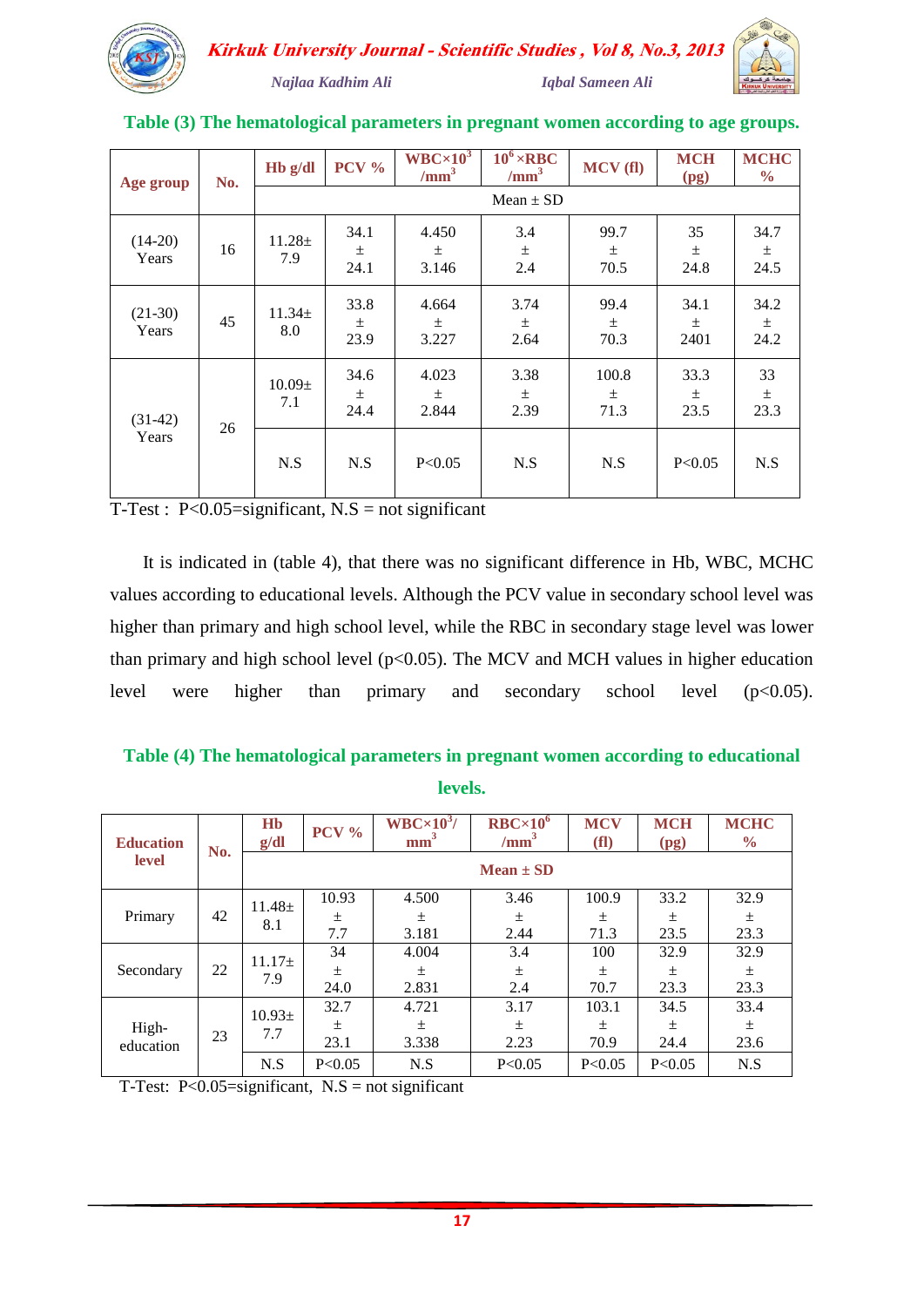



| Age group          | No. | H <sub>b</sub> g/dl | <b>PCV %</b>          | $WBC \times 10^3$<br>/mm <sup>3</sup> | $10^6 \times \text{RBC}$<br>/mm <sup>3</sup> | MCV(fl)                | <b>MCH</b><br>(pg)    | <b>MCHC</b><br>$\frac{6}{9}$ |
|--------------------|-----|---------------------|-----------------------|---------------------------------------|----------------------------------------------|------------------------|-----------------------|------------------------------|
|                    |     |                     |                       |                                       | $Mean \pm SD$                                |                        |                       |                              |
| $(14-20)$<br>Years | 16  | $11.28 \pm$<br>7.9  | 34.1<br>$\pm$<br>24.1 | 4.450<br>$\pm$<br>3.146               | 3.4<br>$\pm$<br>2.4                          | 99.7<br>土<br>70.5      | 35<br>$\pm$<br>24.8   | 34.7<br>$\pm$<br>24.5        |
| $(21-30)$<br>Years | 45  | $11.34 \pm$<br>8.0  | 33.8<br>$\pm$<br>23.9 | 4.664<br>$\pm$<br>3.227               | 3.74<br>$\pm$<br>2.64                        | 99.4<br>$\pm$<br>70.3  | 34.1<br>$\pm$<br>2401 | 34.2<br>$\pm$<br>24.2        |
| $(31-42)$<br>Years |     | $10.09\pm$<br>7.1   | 34.6<br>$\pm$<br>24.4 | 4.023<br>$\pm$<br>2.844               | 3.38<br>$\pm$<br>2.39                        | 100.8<br>$\pm$<br>71.3 | 33.3<br>$\pm$<br>23.5 | 33<br>$\pm$<br>23.3          |
|                    | 26  | N.S                 | N.S                   | P < 0.05                              | N.S                                          | N.S                    | P<0.05                | N.S                          |

# **Table (3) The hematological parameters in pregnant women according to age groups.**

T-Test :  $P < 0.05$ =significant, N.S = not significant

 It is indicated in (table 4), that there was no significant difference in Hb, WBC, MCHC values according to educational levels. Although the PCV value in secondary school level was higher than primary and high school level, while the RBC in secondary stage level was lower than primary and high school level  $(p<0.05)$ . The MCV and MCH values in higher education level were higher than primary and secondary school level  $(p<0.05)$ .

# **Table (4) The hematological parameters in pregnant women according to educational levels.**

| <b>Education</b>   | No. | Hb<br>g/dl      | $PCV$ %       | $WBC \times 10^{3}$<br>mm <sup>3</sup> | $RBC \times 10^6$<br>/mm <sup>3</sup> | <b>MCV</b><br>(f <sub>l</sub> ) | <b>MCH</b><br>(pg) | <b>MCHC</b><br>$\frac{0}{0}$ |  |  |
|--------------------|-----|-----------------|---------------|----------------------------------------|---------------------------------------|---------------------------------|--------------------|------------------------------|--|--|
| level              |     |                 | $Mean \pm SD$ |                                        |                                       |                                 |                    |                              |  |  |
|                    |     | $11.48 \pm$     | 10.93         | 4.500                                  | 3.46                                  | 100.9                           | 33.2               | 32.9                         |  |  |
| Primary            | 42  | 8.1             | $\pm$         | 土                                      | 土                                     | 土                               | 土                  | $\pm$                        |  |  |
|                    |     |                 | 7.7           | 3.181                                  | 2.44                                  | 71.3                            | 23.5               | 23.3                         |  |  |
|                    | 22  | $11.17+$<br>7.9 | 34            | 4.004                                  | 3.4                                   | 100                             | 32.9               | 32.9                         |  |  |
| Secondary          |     |                 | $\pm$         | 土                                      | $\pm$                                 | $\pm$                           | 土                  | $\pm$                        |  |  |
|                    |     |                 | 24.0          | 2.831                                  | 2.4                                   | 70.7                            | 23.3               | 23.3                         |  |  |
|                    |     | $10.93\pm$      | 32.7          | 4.721                                  | 3.17                                  | 103.1                           | 34.5               | 33.4                         |  |  |
| High-<br>education |     | 7.7             | $\pm$         | $\pm$                                  | $+$                                   | 土                               | $+$                | 土                            |  |  |
|                    | 23  |                 | 23.1          | 3.338                                  | 2.23                                  | 70.9                            | 24.4               | 23.6                         |  |  |
|                    |     | N.S             | P < 0.05      | N.S                                    | P < 0.05                              | P < 0.05                        | P<0.05             | N.S                          |  |  |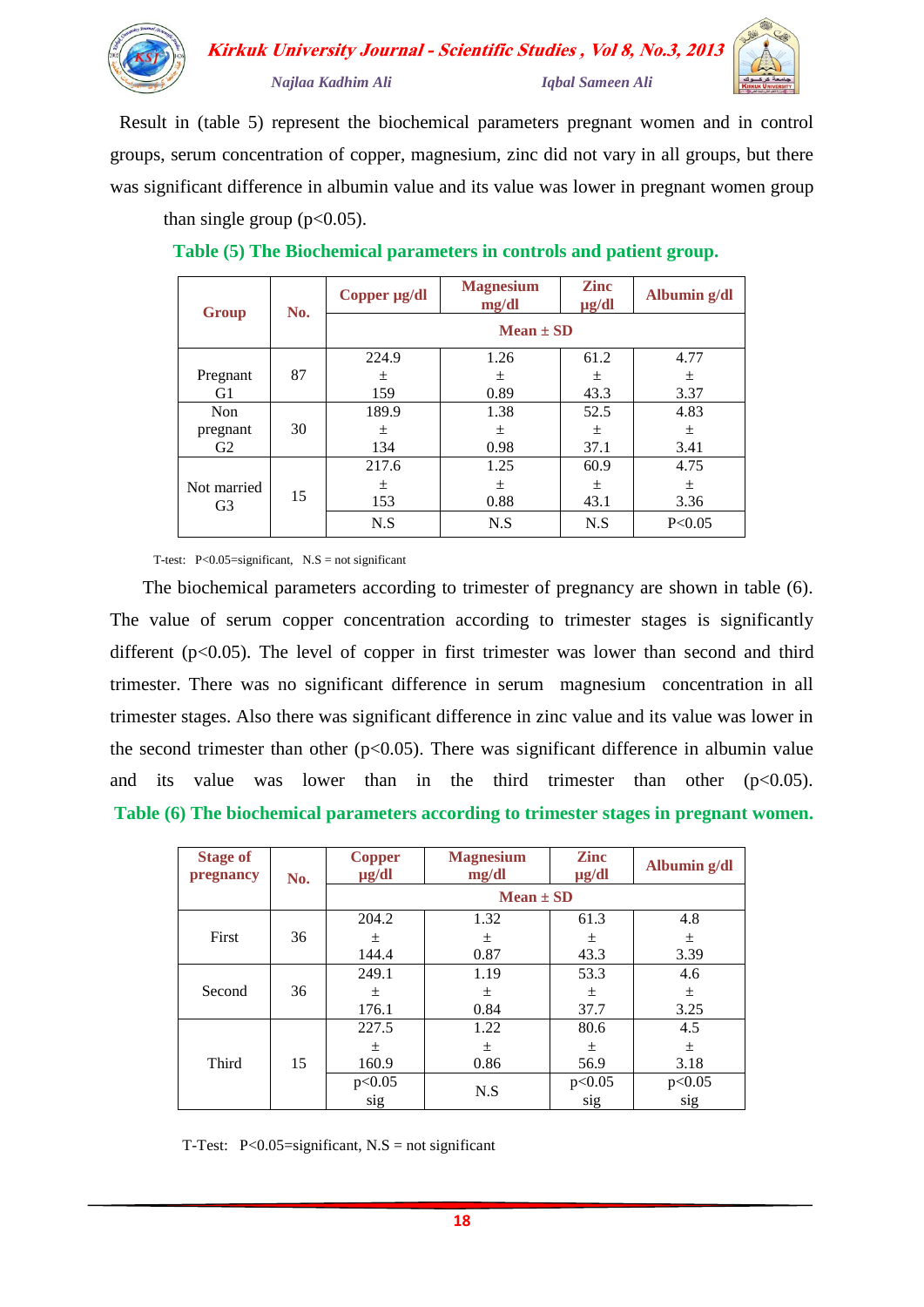

 Result in (table 5) represent the biochemical parameters pregnant women and in control groups, serum concentration of copper, magnesium, zinc did not vary in all groups, but there was significant difference in albumin value and its value was lower in pregnant women group than single group ( $p<0.05$ ).

| <b>Group</b>   | No. | Copper µg/dl  | <b>Magnesium</b><br>mg/dl | <b>Zinc</b><br>$\mu$ g/dl | Albumin g/dl |  |  |  |
|----------------|-----|---------------|---------------------------|---------------------------|--------------|--|--|--|
|                |     | $Mean \pm SD$ |                           |                           |              |  |  |  |
|                |     | 224.9         | 1.26                      | 61.2                      | 4.77         |  |  |  |
| Pregnant       | 87  | 土             | 土                         | 土                         | 土            |  |  |  |
| G1             |     | 159           | 0.89                      | 43.3                      | 3.37         |  |  |  |
| Non            |     | 189.9         | 1.38                      | 52.5                      | 4.83         |  |  |  |
| pregnant       | 30  | $\pm$         | 土                         | 土                         | 土            |  |  |  |
| G2             |     | 134           | 0.98                      | 37.1                      | 3.41         |  |  |  |
|                |     | 217.6         | 1.25                      | 60.9                      | 4.75         |  |  |  |
| Not married    |     | 土             | 土                         | $\pm$                     | 土            |  |  |  |
| G <sub>3</sub> | 15  | 153           | 0.88                      | 43.1                      | 3.36         |  |  |  |
|                |     | N.S           | N.S                       | N.S                       | P < 0.05     |  |  |  |

# **Table (5) The Biochemical parameters in controls and patient group.**

T-test:  $P < 0.05 =$ significant,  $N.S =$  not significant

 The biochemical parameters according to trimester of pregnancy are shown in table (6). The value of serum copper concentration according to trimester stages is significantly different  $(p<0.05)$ . The level of copper in first trimester was lower than second and third trimester. There was no significant difference in serum magnesium concentration in all trimester stages. Also there was significant difference in zinc value and its value was lower in the second trimester than other  $(p<0.05)$ . There was significant difference in albumin value and its value was lower than in the third trimester than other  $(p<0.05)$ . **Table (6) The biochemical parameters according to trimester stages in pregnant women.**

| <b>Stage of</b><br>pregnancy | No. | <b>Copper</b><br>$\mu$ g/dl | <b>Magnesium</b><br>mg/dl | <b>Zinc</b><br>$\mu$ g/dl | Albumin g/dl |  |  |  |  |
|------------------------------|-----|-----------------------------|---------------------------|---------------------------|--------------|--|--|--|--|
|                              |     |                             | $Mean \pm SD$             |                           |              |  |  |  |  |
|                              |     | 204.2                       | 1.32                      | 61.3                      | 4.8          |  |  |  |  |
| First                        | 36  | $\pm$                       | 土                         | 土                         | 土            |  |  |  |  |
|                              |     | 144.4                       | 0.87                      | 43.3                      | 3.39         |  |  |  |  |
|                              |     | 249.1                       | 1.19                      | 53.3                      | 4.6          |  |  |  |  |
| Second                       | 36  | 土                           | $\pm$                     | $\pm$                     | 土            |  |  |  |  |
|                              |     | 176.1                       | 0.84                      | 37.7                      | 3.25         |  |  |  |  |
|                              |     | 227.5                       | 1.22                      | 80.6                      | 4.5          |  |  |  |  |
|                              |     | 土                           | $\pm$                     | 土                         | 士            |  |  |  |  |
| Third                        | 15  | 160.9                       | 0.86                      | 56.9                      | 3.18         |  |  |  |  |
|                              |     | p<0.05                      | N.S                       | p<0.05                    | p<0.05       |  |  |  |  |
|                              |     | sig                         |                           | sig                       | sig          |  |  |  |  |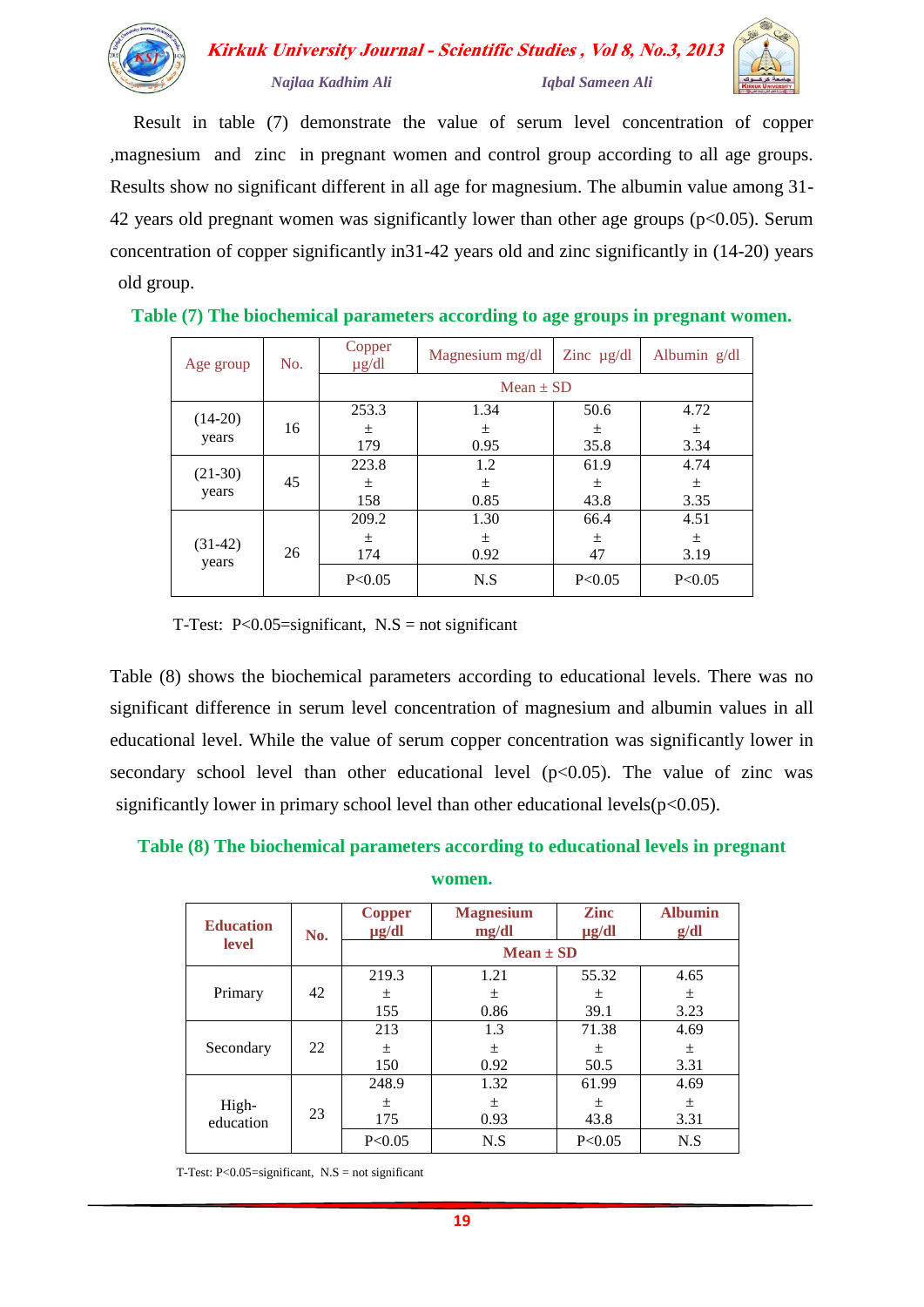

 Result in table (7) demonstrate the value of serum level concentration of copper ,magnesium and zinc in pregnant women and control group according to all age groups. Results show no significant different in all age for magnesium. The albumin value among 31- 42 years old pregnant women was significantly lower than other age groups  $(p<0.05)$ . Serum concentration of copper significantly in31-42 years old and zinc significantly in (14-20) years old group.

| Age group          | No. | Copper<br>$\mu$ g/dl | Magnesium mg/dl | Zinc $\mu$ g/dl | Albumin $g/dl$ |  |  |  |
|--------------------|-----|----------------------|-----------------|-----------------|----------------|--|--|--|
|                    |     |                      | $Mean \pm SD$   |                 |                |  |  |  |
| $(14-20)$          |     | 253.3                | 1.34            | 50.6            | 4.72           |  |  |  |
|                    | 16  | 土                    | 土               | $\pm$           | 士              |  |  |  |
| years              |     | 179                  | 0.95            | 35.8            | 3.34           |  |  |  |
| $(21-30)$          |     | 223.8                | 1.2             | 61.9            | 4.74           |  |  |  |
|                    | 45  | $\pm$                | $\pm$           | 土               | 土              |  |  |  |
| years              |     | 158                  | 0.85            | 43.8            | 3.35           |  |  |  |
|                    |     | 209.2                | 1.30            | 66.4            | 4.51           |  |  |  |
| $(31-42)$<br>years |     | $\pm$                | 土               | 土               | 士              |  |  |  |
|                    | 26  | 174                  | 0.92            | 47              | 3.19           |  |  |  |
|                    |     | P < 0.05             | N.S             | P < 0.05        | P < 0.05       |  |  |  |

|  |  | Table (7) The biochemical parameters according to age groups in pregnant women. |  |  |  |
|--|--|---------------------------------------------------------------------------------|--|--|--|
|  |  |                                                                                 |  |  |  |
|  |  |                                                                                 |  |  |  |

T-Test:  $P < 0.05$ =significant, N.S = not significant

Table (8) shows the biochemical parameters according to educational levels. There was no significant difference in serum level concentration of magnesium and albumin values in all educational level. While the value of serum copper concentration was significantly lower in secondary school level than other educational level  $(p<0.05)$ . The value of zinc was significantly lower in primary school level than other educational levels( $p<0.05$ ).

## **Table (8) The biochemical parameters according to educational levels in pregnant**

**women.**

| <b>Education</b> | No. | <b>Copper</b><br>$\mu$ g/dl | <b>Magnesium</b><br>mg/dl | <b>Zinc</b><br>$\mu$ g/dl | <b>Albumin</b><br>g/dl |  |  |
|------------------|-----|-----------------------------|---------------------------|---------------------------|------------------------|--|--|
| <b>level</b>     |     | $Mean \pm SD$               |                           |                           |                        |  |  |
|                  |     | 219.3                       | 1.21                      | 55.32                     | 4.65                   |  |  |
| Primary          | 42  | 土                           | 土                         | 土                         | $\pm$                  |  |  |
|                  |     | 155                         | 0.86                      | 39.1                      | 3.23                   |  |  |
|                  |     | 213                         | 1.3                       | 71.38                     | 4.69                   |  |  |
| Secondary        | 22  | 土                           | $\pm$                     | 土                         | 土                      |  |  |
|                  |     | 150                         | 0.92                      | 50.5                      | 3.31                   |  |  |
|                  |     | 248.9                       | 1.32                      | 61.99                     | 4.69                   |  |  |
| High-            |     | 土                           | $\pm$                     | 土                         | 土                      |  |  |
| education        | 23  | 175                         | 0.93                      | 43.8                      | 3.31                   |  |  |
|                  |     | P < 0.05                    | N.S                       | P < 0.05                  | N.S                    |  |  |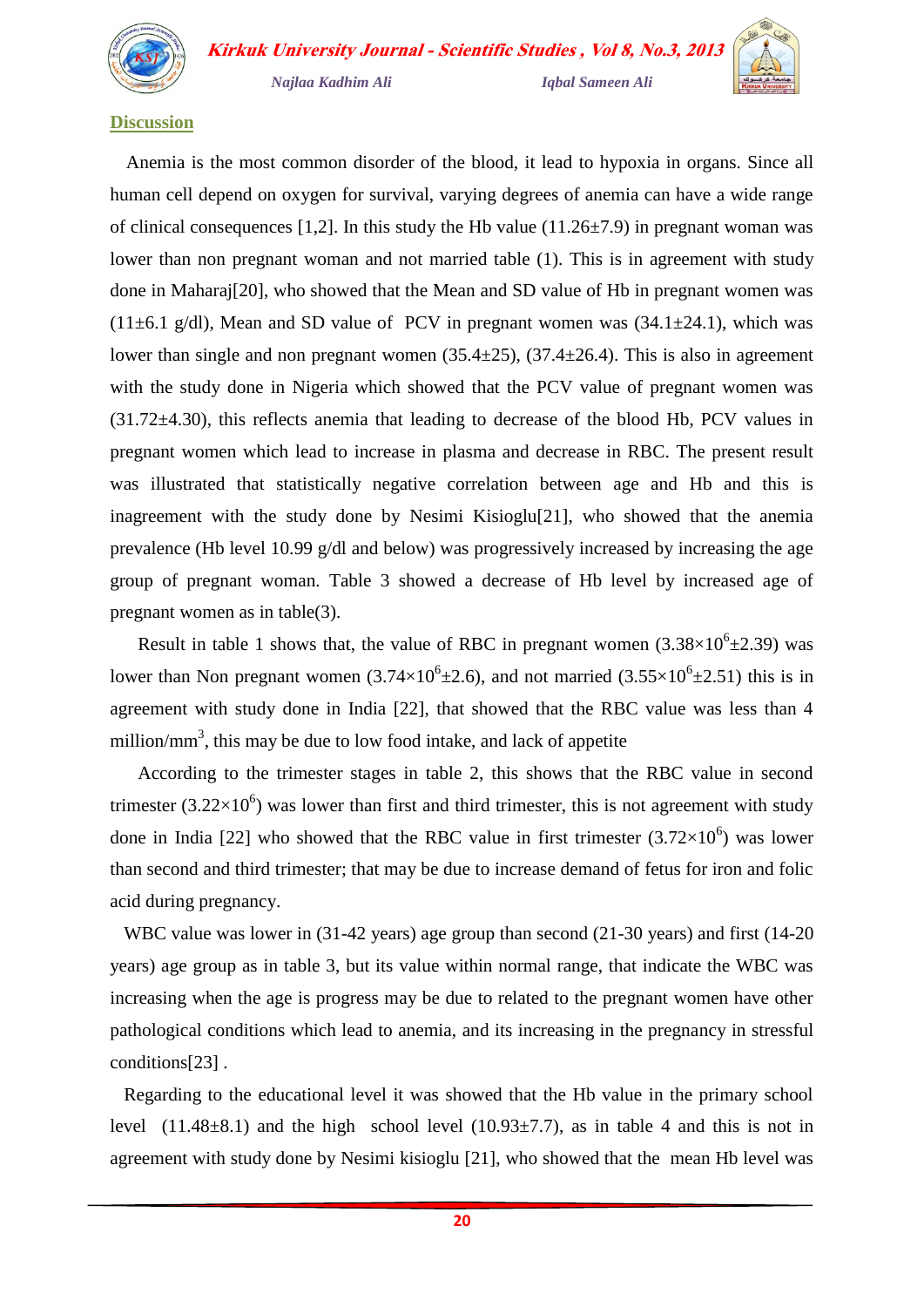

## **Discussion**

 Anemia is the most common disorder of the blood, it lead to hypoxia in organs. Since all human cell depend on oxygen for survival, varying degrees of anemia can have a wide range of clinical consequences [1,2]. In this study the Hb value  $(11.26\pm7.9)$  in pregnant woman was lower than non pregnant woman and not married table (1). This is in agreement with study done in Maharaj[20], who showed that the Mean and SD value of Hb in pregnant women was  $(11\pm6.1 \text{ g/dl})$ , Mean and SD value of PCV in pregnant women was  $(34.1\pm24.1)$ , which was lower than single and non pregnant women  $(35.4\pm 25)$ ,  $(37.4\pm 26.4)$ . This is also in agreement with the study done in Nigeria which showed that the PCV value of pregnant women was (31.72±4.30), this reflects anemia that leading to decrease of the blood Hb, PCV values in pregnant women which lead to increase in plasma and decrease in RBC. The present result was illustrated that statistically negative correlation between age and Hb and this is inagreement with the study done by Nesimi Kisioglu[21], who showed that the anemia prevalence (Hb level 10.99 g/dl and below) was progressively increased by increasing the age group of pregnant woman. Table 3 showed a decrease of Hb level by increased age of pregnant women as in table(3).

Result in table 1 shows that, the value of RBC in pregnant women  $(3.38\times10^{6} \pm 2.39)$  was lower than Non pregnant women (3.74 $\times$ 10<sup>6</sup> $\pm$ 2.6), and not married (3.55 $\times$ 10<sup>6</sup> $\pm$ 2.51) this is in agreement with study done in India [22], that showed that the RBC value was less than 4 million/mm<sup>3</sup>, this may be due to low food intake, and lack of appetite

 According to the trimester stages in table 2, this shows that the RBC value in second trimester (3.22 $\times$ 10<sup>6</sup>) was lower than first and third trimester, this is not agreement with study done in India [22] who showed that the RBC value in first trimester  $(3.72\times10^6)$  was lower than second and third trimester; that may be due to increase demand of fetus for iron and folic acid during pregnancy.

 WBC value was lower in (31-42 years) age group than second (21-30 years) and first (14-20 years) age group as in table 3, but its value within normal range, that indicate the WBC was increasing when the age is progress may be due to related to the pregnant women have other pathological conditions which lead to anemia, and its increasing in the pregnancy in stressful conditions[23] .

 Regarding to the educational level it was showed that the Hb value in the primary school level  $(11.48\pm8.1)$  and the high school level  $(10.93\pm7.7)$ , as in table 4 and this is not in agreement with study done by Nesimi kisioglu [21], who showed that the mean Hb level was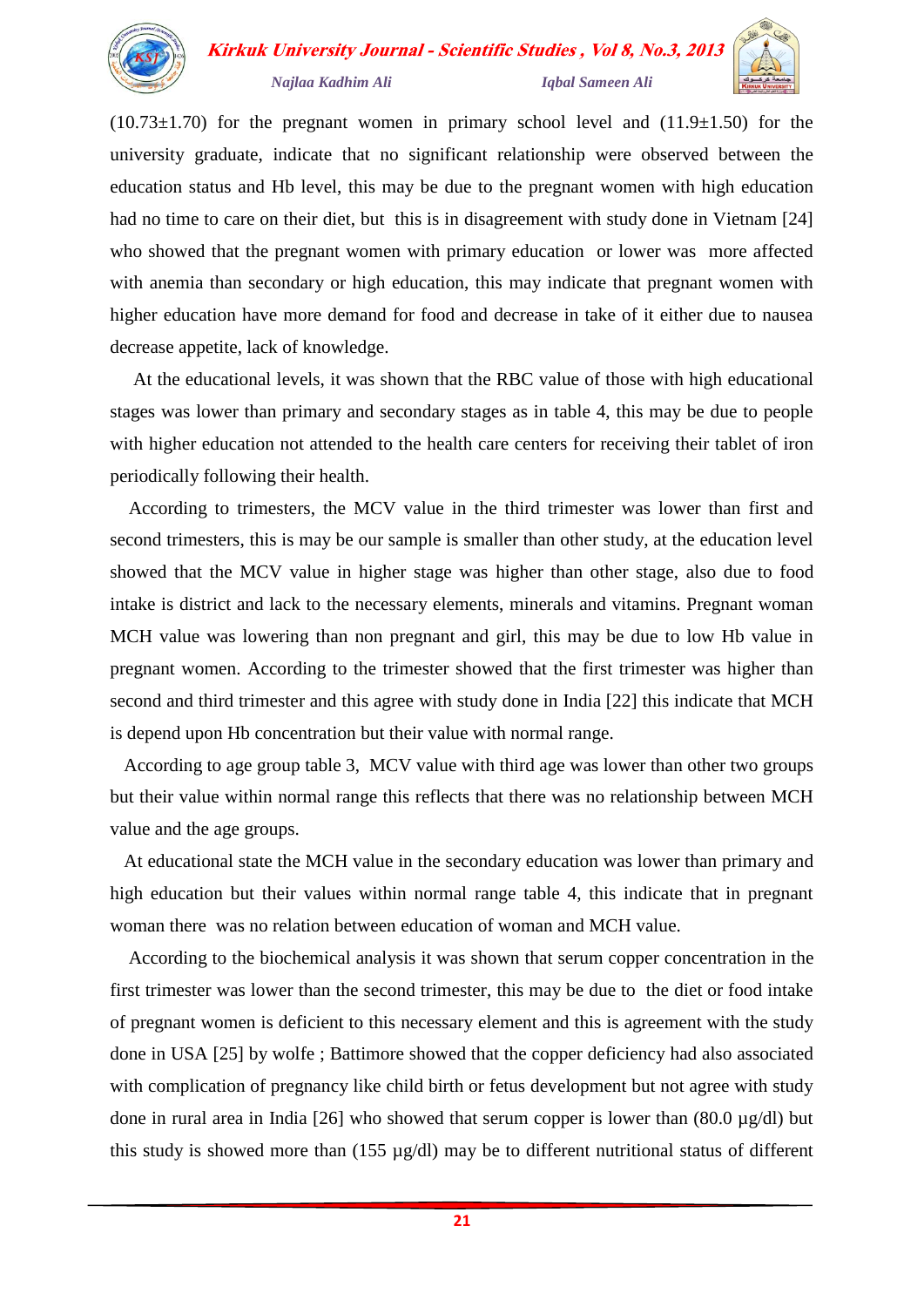

 $(10.73\pm1.70)$  for the pregnant women in primary school level and  $(11.9\pm1.50)$  for the university graduate, indicate that no significant relationship were observed between the education status and Hb level, this may be due to the pregnant women with high education had no time to care on their diet, but this is in disagreement with study done in Vietnam [24] who showed that the pregnant women with primary education or lower was more affected with anemia than secondary or high education, this may indicate that pregnant women with higher education have more demand for food and decrease in take of it either due to nausea decrease appetite, lack of knowledge.

 At the educational levels, it was shown that the RBC value of those with high educational stages was lower than primary and secondary stages as in table 4, this may be due to people with higher education not attended to the health care centers for receiving their tablet of iron periodically following their health.

 According to trimesters, the MCV value in the third trimester was lower than first and second trimesters, this is may be our sample is smaller than other study, at the education level showed that the MCV value in higher stage was higher than other stage, also due to food intake is district and lack to the necessary elements, minerals and vitamins. Pregnant woman MCH value was lowering than non pregnant and girl, this may be due to low Hb value in pregnant women. According to the trimester showed that the first trimester was higher than second and third trimester and this agree with study done in India [22] this indicate that MCH is depend upon Hb concentration but their value with normal range.

 According to age group table 3, MCV value with third age was lower than other two groups but their value within normal range this reflects that there was no relationship between MCH value and the age groups.

 At educational state the MCH value in the secondary education was lower than primary and high education but their values within normal range table 4, this indicate that in pregnant woman there was no relation between education of woman and MCH value.

 According to the biochemical analysis it was shown that serum copper concentration in the first trimester was lower than the second trimester, this may be due to the diet or food intake of pregnant women is deficient to this necessary element and this is agreement with the study done in USA [25] by wolfe ; Battimore showed that the copper deficiency had also associated with complication of pregnancy like child birth or fetus development but not agree with study done in rural area in India [26] who showed that serum copper is lower than  $(80.0 \mu g/d)$  but this study is showed more than (155 µg/dl) may be to different nutritional status of different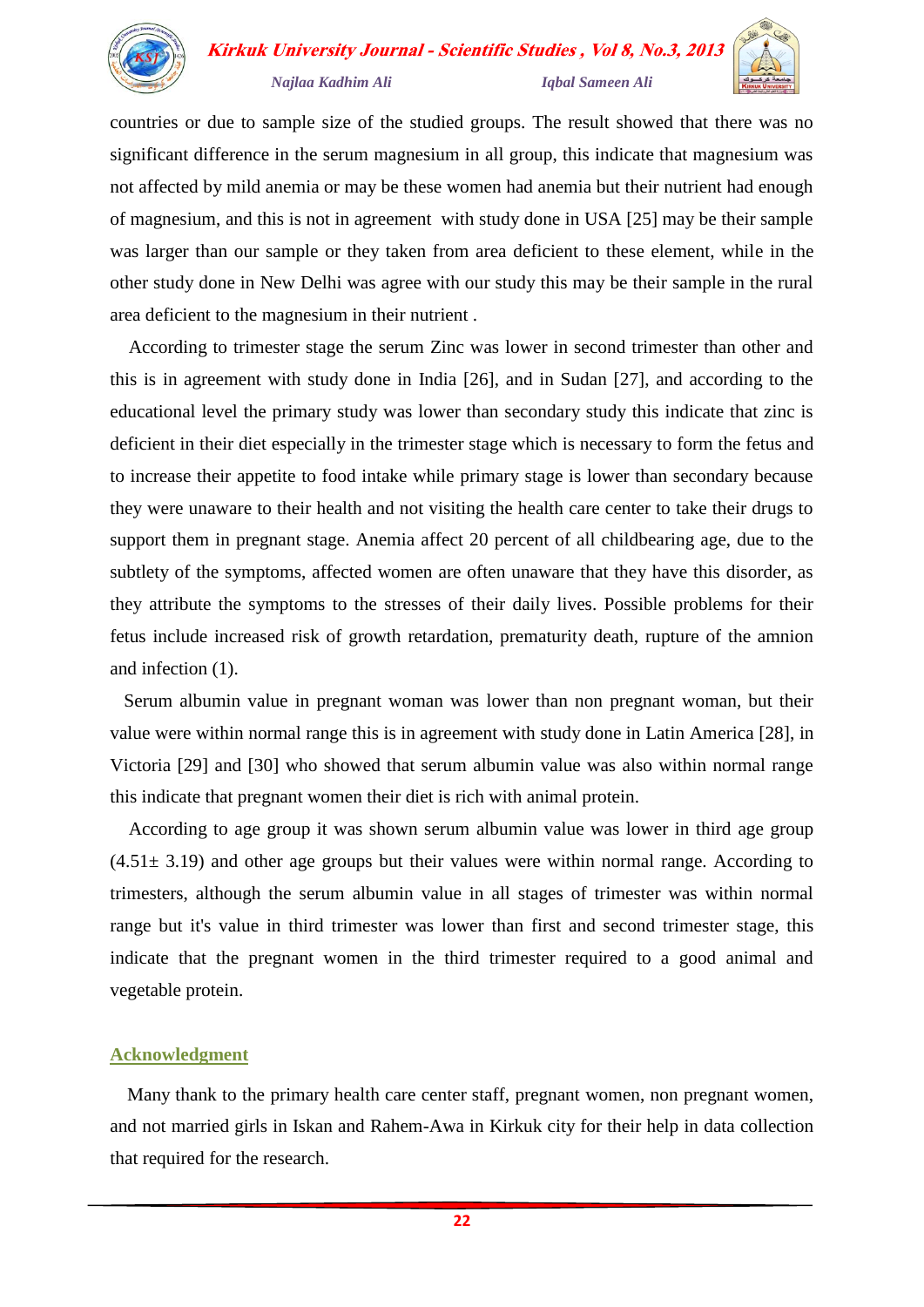

countries or due to sample size of the studied groups. The result showed that there was no significant difference in the serum magnesium in all group, this indicate that magnesium was not affected by mild anemia or may be these women had anemia but their nutrient had enough of magnesium, and this is not in agreement with study done in USA [25] may be their sample was larger than our sample or they taken from area deficient to these element, while in the other study done in New Delhi was agree with our study this may be their sample in the rural area deficient to the magnesium in their nutrient .

 According to trimester stage the serum Zinc was lower in second trimester than other and this is in agreement with study done in India [26], and in Sudan [27], and according to the educational level the primary study was lower than secondary study this indicate that zinc is deficient in their diet especially in the trimester stage which is necessary to form the fetus and to increase their appetite to food intake while primary stage is lower than secondary because they were unaware to their health and not visiting the health care center to take their drugs to support them in pregnant stage. Anemia affect 20 percent of all childbearing age, due to the subtlety of the symptoms, affected women are often unaware that they have this disorder, as they attribute the symptoms to the stresses of their daily lives. Possible problems for their fetus include increased risk of growth retardation, prematurity death, rupture of the amnion and infection (1).

 Serum albumin value in pregnant woman was lower than non pregnant woman, but their value were within normal range this is in agreement with study done in Latin America [28], in Victoria [29] and [30] who showed that serum albumin value was also within normal range this indicate that pregnant women their diet is rich with animal protein.

 According to age group it was shown serum albumin value was lower in third age group  $(4.51\pm 3.19)$  and other age groups but their values were within normal range. According to trimesters, although the serum albumin value in all stages of trimester was within normal range but it's value in third trimester was lower than first and second trimester stage, this indicate that the pregnant women in the third trimester required to a good animal and vegetable protein.

# **Acknowledgment**

 Many thank to the primary health care center staff, pregnant women, non pregnant women, and not married girls in Iskan and Rahem-Awa in Kirkuk city for their help in data collection that required for the research.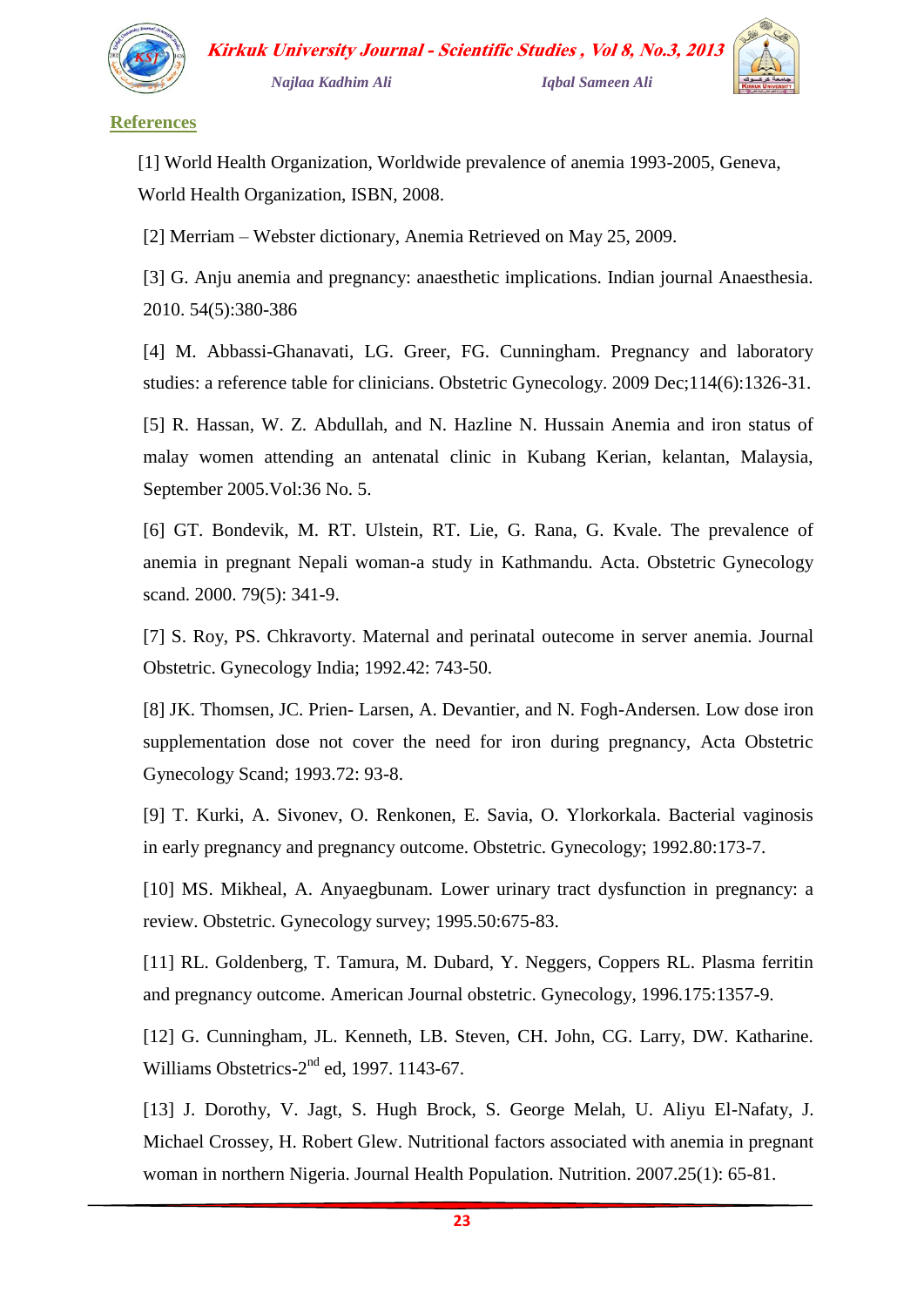

# **References**

[1] World Health Organization, Worldwide prevalence of anemia 1993-2005, Geneva, World Health Organization, ISBN, 2008.

[2] Merriam – Webster dictionary, Anemia Retrieved on May 25, 2009.

[3] G. Anju anemia and pregnancy: anaesthetic implications. Indian journal Anaesthesia. 2010. 54(5):380-386

[4] M. Abbassi-Ghanavati, LG. Greer, FG. Cunningham. Pregnancy and laboratory studies: a reference table for clinicians. Obstetric Gynecology. 2009 Dec;114(6):1326-31.

[5] R. Hassan, W. Z. Abdullah, and N. Hazline N. Hussain Anemia and iron status of malay women attending an antenatal clinic in Kubang Kerian, kelantan, Malaysia, September 2005.Vol:36 No. 5.

[6] GT. Bondevik, M. RT. Ulstein, RT. Lie, G. Rana, G. Kvale. The prevalence of anemia in pregnant Nepali woman-a study in Kathmandu. Acta. Obstetric Gynecology scand. 2000. 79(5): 341-9.

[7] S. Roy, PS. Chkravorty. Maternal and perinatal outecome in server anemia. Journal Obstetric. Gynecology India; 1992.42: 743-50.

[8] JK. Thomsen, JC. Prien- Larsen, A. Devantier, and N. Fogh-Andersen. Low dose iron supplementation dose not cover the need for iron during pregnancy, Acta Obstetric Gynecology Scand; 1993.72: 93-8.

[9] T. Kurki, A. Sivonev, O. Renkonen, E. Savia, O. Ylorkorkala. Bacterial vaginosis in early pregnancy and pregnancy outcome. Obstetric. Gynecology; 1992.80:173-7.

[10] MS. Mikheal, A. Anyaegbunam. Lower urinary tract dysfunction in pregnancy: a review. Obstetric. Gynecology survey; 1995.50:675-83.

[11] RL. Goldenberg, T. Tamura, M. Dubard, Y. Neggers, Coppers RL. Plasma ferritin and pregnancy outcome. American Journal obstetric. Gynecology, 1996.175:1357-9.

[12] G. Cunningham, JL. Kenneth, LB. Steven, CH. John, CG. Larry, DW. Katharine. Williams Obstetrics-2<sup>nd</sup> ed, 1997. 1143-67.

[13] J. Dorothy, V. Jagt, S. Hugh Brock, S. George Melah, U. Aliyu El-Nafaty, J. Michael Crossey, H. Robert Glew. Nutritional factors associated with anemia in pregnant woman in northern Nigeria. Journal Health Population. Nutrition. 2007.25(1): 65-81.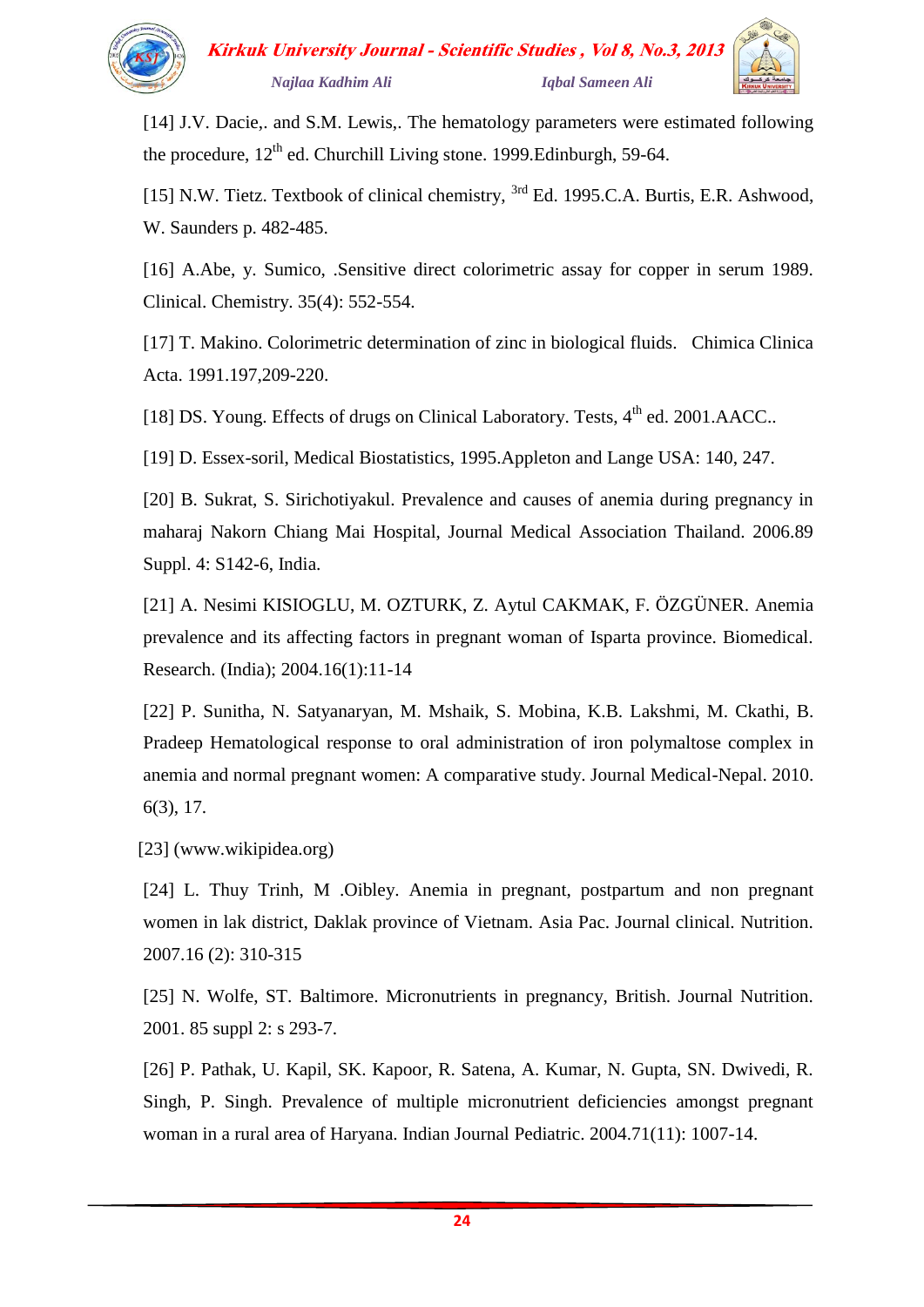

[14] J.V. Dacie,. and S.M. Lewis,. The hematology parameters were estimated following the procedure,  $12<sup>th</sup>$  ed. Churchill Living stone. 1999. Edinburgh, 59-64.

[15] N.W. Tietz. Textbook of clinical chemistry, <sup>3rd</sup> Ed. 1995.C.A. Burtis, E.R. Ashwood, W. Saunders p. 482-485.

[16] A.Abe, y. Sumico, .Sensitive direct colorimetric assay for copper in serum 1989. Clinical. Chemistry. 35(4): 552-554.

[17] T. Makino. Colorimetric determination of zinc in biological fluids. Chimica Clinica Acta. 1991.197,209-220.

[18] DS. Young. Effects of drugs on Clinical Laboratory. Tests, 4<sup>th</sup> ed. 2001.AACC..

[19] D. Essex-soril, Medical Biostatistics, 1995.Appleton and Lange USA: 140, 247.

[20] B. Sukrat, S. Sirichotiyakul. Prevalence and causes of anemia during pregnancy in maharaj Nakorn Chiang Mai Hospital, Journal Medical Association Thailand. 2006.89 Suppl. 4: S142-6, India.

[21] A. Nesimi KISIOGLU, M. OZTURK, Z. Aytul CAKMAK, F. ÖZGÜNER. Anemia prevalence and its affecting factors in pregnant woman of Isparta province. Biomedical. Research. (India); 2004.16(1):11-14

[22] P. Sunitha, N. Satyanaryan, M. Mshaik, S. Mobina, K.B. Lakshmi, M. Ckathi, B. Pradeep Hematological response to oral administration of iron polymaltose complex in anemia and normal pregnant women: A comparative study. Journal Medical-Nepal. 2010. 6(3), 17.

[23] (www.wikipidea.org)

[24] L. Thuy Trinh, M .Oibley. Anemia in pregnant, postpartum and non pregnant women in lak district, Daklak province of Vietnam. Asia Pac. Journal clinical. Nutrition. 2007.16 (2): 310-315

[25] N. Wolfe, ST. Baltimore. Micronutrients in pregnancy, British. Journal Nutrition. 2001. 85 suppl 2: s 293-7.

[26] P. Pathak, U. Kapil, SK. Kapoor, R. Satena, A. Kumar, N. Gupta, SN. Dwivedi, R. Singh, P. Singh. Prevalence of multiple micronutrient deficiencies amongst pregnant woman in a rural area of Haryana. Indian Journal Pediatric. 2004.71(11): 1007-14.